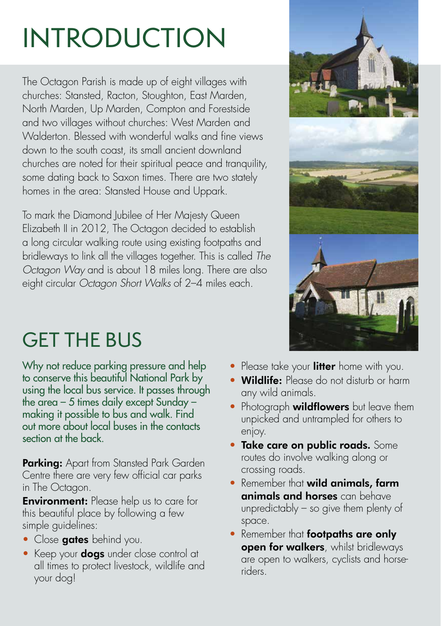# INTRODUCTION

The Octagon Parish is made up of eight villages with churches: Stansted, Racton, Stoughton, East Marden, North Marden, Up Marden, Compton and Forestside and two villages without churches: West Marden and Walderton. Blessed with wonderful walks and fine views down to the south coast, its small ancient downland churches are noted for their spiritual peace and tranquility, some dating back to Saxon times. There are two stately homes in the area: Stansted House and Uppark.

To mark the Diamond Jubilee of Her Majesty Queen Elizabeth II in 2012, The Octagon decided to establish a long circular walking route using existing footpaths and bridleways to link all the villages together. This is called *The Octagon Way* and is about 18 miles long. There are also eight circular *Octagon Short Walks* of 2–4 miles each.



Why not reduce parking pressure and help to conserve this beautiful National Park by using the local bus service. It passes through the area – 5 times daily except Sunday – making it possible to bus and walk. Find out more about local buses in the contacts section at the back.

**Parking:** Apart from Stansted Park Garden Centre there are very few official car parks in The Octagon.

**Environment:** Please help us to care for this beautiful place by following a few simple guidelines:

- Close **gates** behind you.
- Keep your **dogs** under close control at all times to protect livestock, wildlife and your dog!



- Please take your litter home with you.
- Wildlife: Please do not disturb or harm any wild animals.
- Photograph wildflowers but leave them unpicked and untrampled for others to enjoy.
- **Take care on public roads.** Some routes do involve walking along or crossing roads.
- Remember that **wild animals, farm** animals and horses can behave unpredictably – so give them plenty of space.
- Remember that **footpaths are only** open for walkers, whilst bridleways are open to walkers, cyclists and horseriders.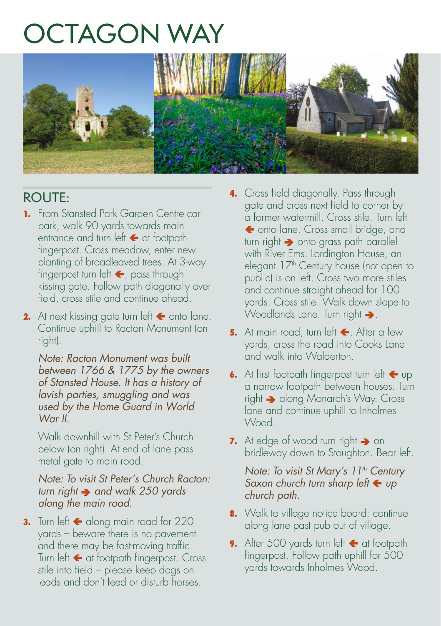## OCTAGON WAY



### ROUTE:

- **1.** From Stansted Park Garden Centre car park, walk 90 yards towards main entrance and turn left  $\leftarrow$  at footpath fingerpost. Cross meadow, enter new planting of broadleaved trees. At 3-way fingerpost turn left  $\leftarrow$ , pass through kissing gate. Follow path diagonally over field, cross stile and continue ahead.
- **2.** At next kissing gate turn left  $\blacktriangle$  onto lane. Continue uphill to Racton Monument (on right).

*Note: Racton Monument was built between 1766 & 1775 by the owners of Stansted House. It has a history of lavish parties, smuggling and was used by the Home Guard in World War II.*

Walk downhill with St Peter's Church below (on right). At end of lane pass metal gate to main road.

*Note: To visit St Peter's Church Racton: turn right*  $\rightarrow$  and walk 250 yards *along the main road.*

**3.** Turn left  $\leftarrow$  along main road for 220 yards – beware there is no pavement and there may be fast-moving traffic. Turn left  $\leftarrow$  at footpath fingerpost. Cross stile into field – please keep dogs on leads and don't feed or disturb horses.

- **4.** Cross field diagonally. Pass through gate and cross next field to corner by a former watermill. Cross stile. Turn left ← onto lane. Cross small bridge, and turn right  $\rightarrow$  onto grass path parallel with River Ems. Lordington House, an elegant 17<sup>th</sup> Century house (not open to public) is on left. Cross two more stiles and continue straight ahead for 100 yards. Cross stile. Walk down slope to Woodlands Lane. Turn right  $\rightarrow$ .
- **5.** At main road, turn left  $\leftarrow$ . After a few yards, cross the road into Cooks Lane and walk into Walderton.
- **6.** At first footpath fingerpost turn left  $\leftarrow$  up a narrow footpath between houses. Turn right  $\rightarrow$  along Monarch's Way. Cross lane and continue uphill to Inholmes Wood.
- **7.** At edge of wood turn right  $\rightarrow$  on bridleway down to Stoughton. Bear left.

*Note: To visit St Mary's 11<sup>th</sup> Century Saxon church turn sharp left ← up church path.*

- **8.** Walk to village notice board; continue along lane past pub out of village.
- **9.** After 500 yards turn left **+** at footpath fingerpost. Follow path uphill for 500 yards towards Inholmes Wood.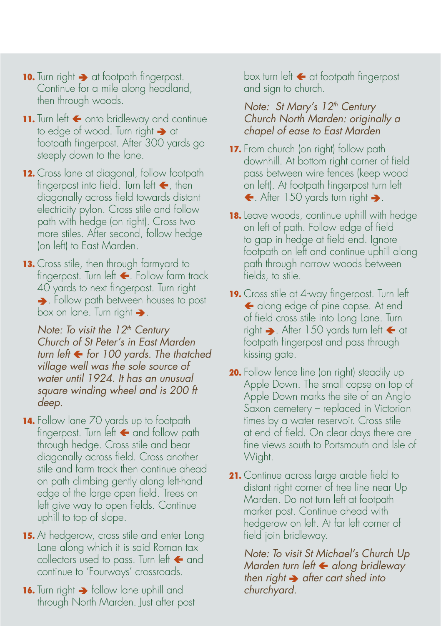- **10.** Turn right  $\rightarrow$  at footpath fingerpost. Continue for a mile along headland, then through woods.
- 11. Turn left  $\leftarrow$  onto bridleway and continue to edge of wood. Turn right  $\rightarrow$  at footpath fingerpost. After 300 yards go steeply down to the lane.
- **12.** Cross lane at diagonal, follow footpath fingerpost into field. Turn left  $\blacktriangle$ , then diagonally across field towards distant electricity pylon. Cross stile and follow path with hedge (on right). Cross two more stiles. After second, follow hedge (on left) to East Marden.
- 13. Cross stile, then through farmyard to fingerpost. Turn left  $\leftarrow$ . Follow farm track 40 yards to next fingerpost. Turn right  $\rightarrow$ . Follow path between houses to post box on lane. Turn right  $\rightarrow$ .

*Note: To visit the 12<sup>th</sup> Century Church of St Peter's in East Marden turn left for 100 yards. The thatched village well was the sole source of water until 1924. It has an unusual square winding wheel and is 200 ft deep.*

- **14.** Follow lane 70 yards up to footpath fingerpost. Turn left  $\leftarrow$  and follow path through hedge. Cross stile and bear diagonally across field. Cross another stile and farm track then continue ahead on path climbing gently along left-hand edge of the large open field. Trees on left give way to open fields. Continue uphill to top of slope.
- **15.** At hedgerow, cross stile and enter Long Lane along which it is said Roman tax collectors used to pass. Turn left  $\leftarrow$  and continue to 'Fourways' crossroads.
- **16.** Turn right  $\rightarrow$  follow lane uphill and through North Marden. Just after post

box turn left  $\leftarrow$  at footpath fingerpost and sign to church.

#### *Note: St Mary's 12<sup>th</sup> Century Church North Marden: originally a chapel of ease to East Marden*

- **17.** From church (on right) follow path downhill. At bottom right corner of field pass between wire fences (keep wood on left). At footpath fingerpost turn left  $\leftarrow$ . After 150 yards turn right  $\rightarrow$ .
- **18.** Leave woods, continue uphill with hedge on left of path. Follow edge of field to gap in hedge at field end. Ignore footpath on left and continue uphill along path through narrow woods between fields, to stile.
- **19.** Cross stile at 4-way fingerpost. Turn left ← along edge of pine copse. At end of field cross stile into Long Lane. Turn right  $\rightarrow$ . After 150 yards turn left  $\leftarrow$  at footpath fingerpost and pass through kissing gate.
- **20.** Follow fence line (on right) steadily up Apple Down. The small copse on top of Apple Down marks the site of an Anglo Saxon cemetery – replaced in Victorian times by a water reservoir. Cross stile at end of field. On clear days there are fine views south to Portsmouth and Isle of Wight.
- **21.** Continue across large arable field to distant right corner of tree line near Up Marden. Do not turn left at footpath marker post. Continue ahead with hedgerow on left. At far left corner of field join bridleway.

*Note: To visit St Michael's Church Up Marden turn left along bridleway then right*  $\rightarrow$  after cart shed into *churchyard.*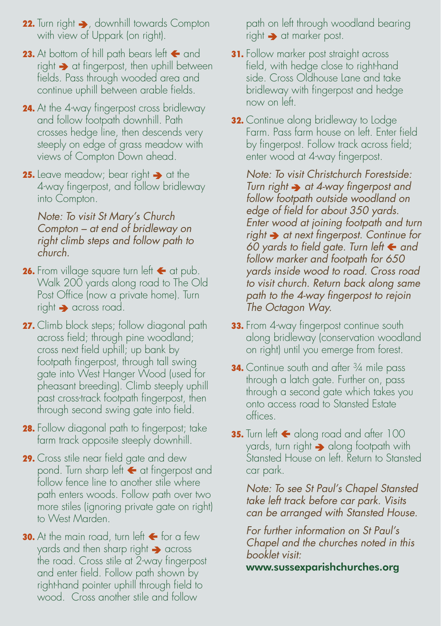- **22.** Turn right  $\rightarrow$ , downhill towards Compton with view of Uppark (on right).
- **23.** At bottom of hill path bears left  $\leftarrow$  and  $right \rightarrow$  at fingerpost, then uphill between fields. Pass through wooded area and continue uphill between arable fields.
- **24.** At the 4-way fingerpost cross bridleway and follow footpath downhill. Path crosses hedge line, then descends very steeply on edge of grass meadow with views of Compton Down ahead.
- **25.** Leave meadow; bear right  $\rightarrow$  at the 4-way fingerpost, and follow bridleway into Compton.

#### *Note: To visit St Mary's Church Compton – at end of bridleway on right climb steps and follow path to church.*

- **26.** From village square turn left  $\leftarrow$  at pub. Walk 200 yards along road to The Old Post Office (now a private home). Turn  $right \rightarrow$  across road.
- **27.** Climb block steps; follow diagonal path across field; through pine woodland; cross next field uphill; up bank by footpath fingerpost, through tall swing gate into West Hanger Wood (used for pheasant breeding). Climb steeply uphill past cross-track footpath fingerpost, then through second swing gate into field.
- **28.** Follow diagonal path to fingerpost; take farm track opposite steeply downhill.
- **29.** Cross stile near field gate and dew pond. Turn sharp left  $\blacktriangleleft$  at fingerpost and follow fence line to another stile where path enters woods. Follow path over two more stiles (ignoring private gate on right) to West Marden.
- **30.** At the main road, turn left  $\leftarrow$  for a few yards and then sharp right  $\rightarrow$  across the road. Cross stile at 2-way fingerpost and enter field. Follow path shown by right-hand pointer uphill through field to wood. Cross another stile and follow

path on left through woodland bearing right  $\rightarrow$  at marker post.

- **31.** Follow marker post straight across field, with hedge close to right-hand side. Cross Oldhouse Lane and take bridleway with fingerpost and hedge now on left.
- **32.** Continue along bridleway to Lodge Farm. Pass farm house on left. Enter field by fingerpost. Follow track across field; enter wood at 4-way fingerpost.

*Note: To visit Christchurch Forestside: Turn right*  $\rightarrow$  at 4-way fingerpost and *follow footpath outside woodland on edge of field for about 350 yards. Enter wood at joining footpath and turn right at next fingerpost. Continue for 60 yards to field gate. Turn left and follow marker and footpath for 650 yards inside wood to road. Cross road to visit church. Return back along same path to the 4-way fingerpost to rejoin The Octagon Way.* 

- **33.** From 4-way fingerpost continue south along bridleway (conservation woodland on right) until you emerge from forest.
- **34.** Continue south and after <sup>3</sup>/4 mile pass through a latch gate. Further on, pass through a second gate which takes you onto access road to Stansted Estate offices.
- **35.** Turn left  $\leftarrow$  along road and after 100 yards, turn right  $\rightarrow$  along footpath with Stansted House on left. Return to Stansted car park.

*Note: To see St Paul's Chapel Stansted take left track before car park. Visits can be arranged with Stansted House.*

*For further information on St Paul's Chapel and the churches noted in this booklet visit:*

www.sussexparishchurches.org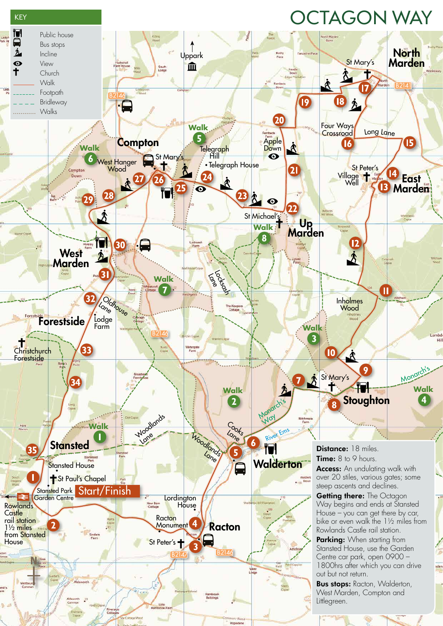### OCTAGON WAY